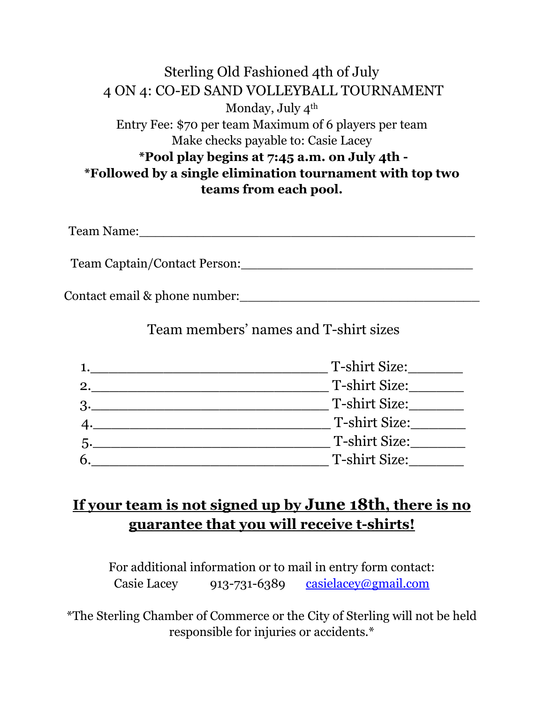#### Sterling Old Fashioned 4th of July 4 ON 4: CO-ED SAND VOLLEYBALL TOURNAMENT Monday, July 4<sup>th</sup> Entry Fee: \$70 per team Maximum of 6 players per team Make checks payable to: Casie Lacey **\*Pool play begins at 7:45 a.m. on July 4th - \*Followed by a single elimination tournament with top two teams from each pool.**

Team Name:\_\_\_\_\_\_\_\_\_\_\_\_\_\_\_\_\_\_\_\_\_\_\_\_\_\_\_\_\_\_\_\_\_\_\_\_\_\_\_\_\_\_

Team Captain/Contact Person:\_\_\_\_\_\_\_\_\_\_\_\_\_\_\_\_\_\_\_\_\_\_\_\_\_\_\_\_\_

Contact email & phone number:\_\_\_\_\_\_\_\_\_\_\_\_\_\_\_\_\_\_\_\_\_\_\_\_\_\_\_\_\_\_

Team members' names and T-shirt sizes

|               | T-shirt Size: |
|---------------|---------------|
| 2.            | T-shirt Size: |
| $\mathcal{B}$ | T-shirt Size: |
|               | T-shirt Size: |
|               | T-shirt Size: |
| 6             | T-shirt Size: |

## **If your team is not signed up by June 18th, there is no guarantee that you will receive t-shirts!**

For additional information or to mail in entry form contact: Casie Lacey 913-731-6389 [casielacey@gmail.com](mailto:casielacey@gmail.com)

\*The Sterling Chamber of Commerce or the City of Sterling will not be held responsible for injuries or accidents.\*